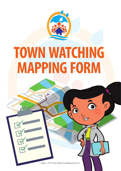

# **TOWN WATCHING MAPPING FORM**

 $\sigma$ 

This cover has been designed using resources from Freepik.com

Page 1 of 9: Town Watching Mapping Form

Ô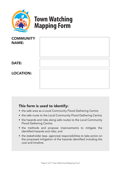

## **Town Watching Mapping Form**

| <b>COMMUNITY</b><br><b>NAME:</b> |  |
|----------------------------------|--|
| <b>DATE:</b>                     |  |
| <b>LOCATION:</b>                 |  |

#### This form is used to identify:

- the safe area as a Local Community Flood Gathering Centre;
- the safe route to the Local Community Flood Gathering Centre;
- the hazards and risks along safe routes to the Local Community Flood Gathering Centre;
- the methods and propose improvements to mitigate the identified hazards and risks; and
- the stakeholder (esp. agencies) responsibilities to take action on the proposed mitigation of the hazards identified including the cost and timeline.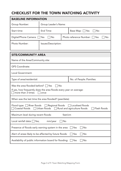#### CHECKLIST FOR THE TOWN WATCHING ACTIVITY

| <b>BASELINE INFORMATION</b>                                                                                                                                            |                                                                     |  |                            |  |
|------------------------------------------------------------------------------------------------------------------------------------------------------------------------|---------------------------------------------------------------------|--|----------------------------|--|
| Group Number:                                                                                                                                                          | Group Leader's Name:                                                |  |                            |  |
| Start time:                                                                                                                                                            | End Time:                                                           |  | Base Map: $\Box$ Yes<br>No |  |
| Digital/Phone Camera: Yes                                                                                                                                              | $\Box$ No<br>Photo reference Number: $\Box$ Yes<br>∏No              |  |                            |  |
| Photo Number:                                                                                                                                                          | Issues/Description:                                                 |  |                            |  |
| <b>SITE/COMMUNITY AREA</b>                                                                                                                                             |                                                                     |  |                            |  |
| Name of the Area/Community site:                                                                                                                                       |                                                                     |  |                            |  |
| <b>GPS Coordinate:</b>                                                                                                                                                 |                                                                     |  |                            |  |
| Local Government:                                                                                                                                                      |                                                                     |  |                            |  |
| Type of area/residential:<br>No. of People /Families:                                                                                                                  |                                                                     |  |                            |  |
| Was the area flooded before? $\Box$ Yes<br>$\Box$ No<br>If yes, how frequently does the area floods every year on average:<br>more than 3 times<br>once                |                                                                     |  |                            |  |
| When was the last time the area flooded? (year/date)                                                                                                                   |                                                                     |  |                            |  |
| Flood type: $\Box$ River floods<br>$\Box$ Regional floods<br>$\Box$ Localised floods<br>Flash floods<br>Coastal floods<br>Urban floods<br>Rural and agriculture floods |                                                                     |  |                            |  |
| Maximum level during recent floods:<br>feet/cm                                                                                                                         |                                                                     |  |                            |  |
| Local rainfall data: $\Box$ Yes;<br>mm/year<br>No                                                                                                                      |                                                                     |  |                            |  |
| Presence of floods early warning system in the area:<br>No<br>Yes                                                                                                      |                                                                     |  |                            |  |
| Alert of areas likely to be affected by future floods:<br>No<br>Yes                                                                                                    |                                                                     |  |                            |  |
|                                                                                                                                                                        | Availability of public information board for flooding:<br>No<br>Yes |  |                            |  |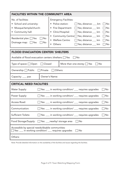| <b>FACILITIES WITHIN THE COMMUNITY AREA</b>                                                                                                                          |                                                             |                                                                      |                                                                                                                                                                                                                                    |                                  |
|----------------------------------------------------------------------------------------------------------------------------------------------------------------------|-------------------------------------------------------------|----------------------------------------------------------------------|------------------------------------------------------------------------------------------------------------------------------------------------------------------------------------------------------------------------------------|----------------------------------|
| No. of facilities:<br>• School and university:<br>Mosque/temple/church:<br>• Community hall:<br>Residential plan: $\Box$ Yes<br>No<br>No<br>Drainage map: $\Box$ Yes | $\bullet$<br>$\bullet$<br>$\bullet$<br>Others:<br>$\bullet$ | <b>Emergency Facilities:</b><br>Police station:<br>• Welfare Centre: | $\Box$ Yes, distance: ___ km<br>Fire Department: □ Yes; distance ___ km<br>Clinic/Hospital: □ Yes; distance ___ km<br>• Community Centre: Yes; distance ___ km<br>$\Box$ Yes; distance $\Box$ km<br>$\Box$ Yes; distance $\Box$ km | No<br>No<br>No<br>No<br>No<br>No |
| <b>FLOOD EVACUATION CENTER/ SHELTERS</b>                                                                                                                             |                                                             |                                                                      |                                                                                                                                                                                                                                    |                                  |
| Available of flood evacuation centers /shelters: $\Box$ Yes                                                                                                          |                                                             |                                                                      | No                                                                                                                                                                                                                                 |                                  |
| Type of space: $\Box$ Open<br>$\Box$ Closed<br>More than one storey: $\Box$ Yes<br>No                                                                                |                                                             |                                                                      |                                                                                                                                                                                                                                    |                                  |
| $\Box$ Private<br>Ownership: $\Box$ Public                                                                                                                           |                                                             | Others:                                                              |                                                                                                                                                                                                                                    |                                  |
| Capacity: ___ pax                                                                                                                                                    | <b>Owner's Name:</b>                                        |                                                                      |                                                                                                                                                                                                                                    |                                  |
| <b>CRITICAL NEED FACILITIES</b>                                                                                                                                      |                                                             |                                                                      |                                                                                                                                                                                                                                    |                                  |
| <b>Water Supply:</b>                                                                                                                                                 |                                                             |                                                                      | $\Box$ Yes: $\Box$ in working condition/ $\Box$ requires upgrades                                                                                                                                                                  | No                               |
| Power Supply:                                                                                                                                                        |                                                             |                                                                      | □ Yes: ___ in working condition/ ___ requires upgrades                                                                                                                                                                             | No                               |
| Access Road:                                                                                                                                                         |                                                             |                                                                      | $\Box$ Yes: ___ in working condition/ ___ requires upgrades                                                                                                                                                                        | $\Box$ No                        |
| Communication:                                                                                                                                                       |                                                             |                                                                      | Yes: ___ in working condition/ ___ requires upgrades                                                                                                                                                                               | No                               |
| <b>Sufficient Toilets:</b>                                                                                                                                           |                                                             |                                                                      | Yes: ___ in working condition/ ___ requires upgrades                                                                                                                                                                               | No                               |
| Food Storage/Supply: □ Yes: ___nearby/ storage area                                                                                                                  |                                                             |                                                                      | No                                                                                                                                                                                                                                 |                                  |
| Accessible by special needs/disable communities:<br>$\Box$ Yes: ___ in working condition/ ___ requires upgrades<br>No                                                |                                                             |                                                                      |                                                                                                                                                                                                                                    |                                  |
| Others:                                                                                                                                                              |                                                             |                                                                      |                                                                                                                                                                                                                                    |                                  |

*Note: Provide detailed information on the availability of the facilities and issues regarding the facilities.*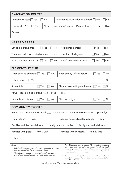| <b>EVACUATION ROUTES</b>                                                                                                                                                                                                                                                                                                                                                                                                                                                                                                                                                                                                                    |                                                        |  |  |  |
|---------------------------------------------------------------------------------------------------------------------------------------------------------------------------------------------------------------------------------------------------------------------------------------------------------------------------------------------------------------------------------------------------------------------------------------------------------------------------------------------------------------------------------------------------------------------------------------------------------------------------------------------|--------------------------------------------------------|--|--|--|
| Available routes: $\Box$ Yes<br>No                                                                                                                                                                                                                                                                                                                                                                                                                                                                                                                                                                                                          | Alternative routes during a flood: □ Yes<br>No         |  |  |  |
| No<br>$Helipad:$ Yes                                                                                                                                                                                                                                                                                                                                                                                                                                                                                                                                                                                                                        | Near to Evacuation Centre: □ Yes; distance __ km<br>No |  |  |  |
| Others:                                                                                                                                                                                                                                                                                                                                                                                                                                                                                                                                                                                                                                     |                                                        |  |  |  |
| <b>HAZARD AREAS</b>                                                                                                                                                                                                                                                                                                                                                                                                                                                                                                                                                                                                                         |                                                        |  |  |  |
| No<br>Landslide prone areas:<br>Yes                                                                                                                                                                                                                                                                                                                                                                                                                                                                                                                                                                                                         | Flood prone areas:<br>No<br>Yes                        |  |  |  |
| The area/building located on/near slope of more than 30 degrees:                                                                                                                                                                                                                                                                                                                                                                                                                                                                                                                                                                            | No<br>Yes                                              |  |  |  |
| No<br>Storm surge prone areas: Ses                                                                                                                                                                                                                                                                                                                                                                                                                                                                                                                                                                                                          | River/stream/water bodies:<br>No<br>Yes                |  |  |  |
| <b>ELEMENTS AT RISK</b>                                                                                                                                                                                                                                                                                                                                                                                                                                                                                                                                                                                                                     |                                                        |  |  |  |
| ∏No<br>Trees seen as obstacle: $\Box$ Yes                                                                                                                                                                                                                                                                                                                                                                                                                                                                                                                                                                                                   | Poor quality infrastructures:<br>No<br>Yes             |  |  |  |
| Other barriers: $\Box$ Yes: _______                                                                                                                                                                                                                                                                                                                                                                                                                                                                                                                                                                                                         | No                                                     |  |  |  |
| Street lights:<br>] No<br>$\exists$ Yes                                                                                                                                                                                                                                                                                                                                                                                                                                                                                                                                                                                                     | Electric poles/wiring on the road: $\Box$ Yes<br>No    |  |  |  |
| Power House in flood prone Area: □ Yes<br>No                                                                                                                                                                                                                                                                                                                                                                                                                                                                                                                                                                                                |                                                        |  |  |  |
| Unstable structures:<br>No<br>Yes                                                                                                                                                                                                                                                                                                                                                                                                                                                                                                                                                                                                           | Narrow bridge:<br>No<br>Yes                            |  |  |  |
| <b>COMMUNITY PROFILE</b>                                                                                                                                                                                                                                                                                                                                                                                                                                                                                                                                                                                                                    |                                                        |  |  |  |
| No. of local people interviewed: ___ pax (details of each interview recorded separately)                                                                                                                                                                                                                                                                                                                                                                                                                                                                                                                                                    |                                                        |  |  |  |
| Special needs/disabled people: ___ pax<br>No. of elderly: $\frac{1}{2}$ pax                                                                                                                                                                                                                                                                                                                                                                                                                                                                                                                                                                 |                                                        |  |  |  |
| Families with babies/children: ___ family unit with babies; ___ family unit with children                                                                                                                                                                                                                                                                                                                                                                                                                                                                                                                                                   |                                                        |  |  |  |
| Families with pets: ___ family unit                                                                                                                                                                                                                                                                                                                                                                                                                                                                                                                                                                                                         | Families with livestock: ___ family unit               |  |  |  |
| Others:                                                                                                                                                                                                                                                                                                                                                                                                                                                                                                                                                                                                                                     |                                                        |  |  |  |
| The Discussion should cover: (1) mitigation measures:<br>Notes:<br>$\bullet$<br>dangerous spots, any solutions; evacuation places, easily<br>Buildings'/infrastructures' attributes are important to note as<br>accessible; evacuation routes, available/safe; any additional<br>they can be useful (advantage) during a flood.<br>shortcuts required and warning information, reachability; (2)<br>recommendations and solutions.<br>The information found during site visits (preliminary review of<br>area) should be available during the discussion session.<br>Please refer to the Guidelines for Town Watching Activity<br>$\bullet$ |                                                        |  |  |  |

CBFHM and CBFRP. Page 5 of 9: Town Watching Mapping Form

for detailed steps on the discussion and development of the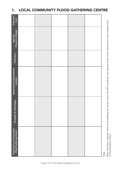| Estimated<br>Cost                                                |  |  | Basic information required: name of the building, the owner's name, the GPS coordinate, the capacity of the centre, distance from your residence and |
|------------------------------------------------------------------|--|--|------------------------------------------------------------------------------------------------------------------------------------------------------|
| (Person In Charge)<br>Agencies                                   |  |  |                                                                                                                                                      |
| Timeframe                                                        |  |  |                                                                                                                                                      |
| Weaknesses & Enhancement<br>needed                               |  |  |                                                                                                                                                      |
| Strengths & Advantages                                           |  |  |                                                                                                                                                      |
| <b>Proposed Local Community</b><br><b>Flood Gathering Centre</b> |  |  | Note:                                                                                                                                                |

### 1. LOCAL COMMUNITY FLOOD GATHERING CENTRE

to the evacuation centre.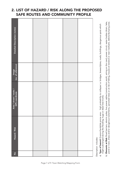#### 2. LIST OF HAZARD / RISK ALONG THE PROPOSED SAFE ROUTES AND COMMUNITY PROFILE

| Detailed Description (notes)              |  |  |  |
|-------------------------------------------|--|--|--|
| Image<br>(no. of reference)               |  |  |  |
| Area / street / route /<br>GPS coordinate |  |  |  |
| Hazard / Risk                             |  |  |  |
| $\frac{1}{2}$                             |  |  |  |

Description includes: Description includes:

- a) Type of hazard: Erosion/landslide prone area high probability to collapse i.e. bridges, levees/dykes, roads, buildings, dangerous spots which a) **Type of hazard:** Erosion/landslide prone area - high probability to collapse i.e. bridges, levees/dykes, roads, buildings, dangerous spots which might submerged during the flooding, huge or dead tree trunks. might submerged during the flooding, huge or dead tree trunks.
- b) Elements at Risk: Road barriers, electric poles, live power cables (construction work), wiring on the road, power circuit, water bodies (drain, lake, pond or river), sharp and/or dangerous tools/items, uprooted trees or at risk of falling, houses at lowland or near riverbank, debris/dumping area. b) **Elements at Risk:** Road barriers, electric poles, live power cables (construction work), wiring on the road, power circuit, water bodies (drain, lake, pond or river), sharp and/or dangerous tools/items, uprooted trees or at risk of falling, houses at lowland or near riverbank, debris/dumping area.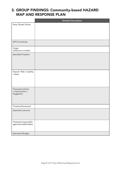#### 3. GROUP FINDINGS: Community-based HAZARD MAP AND RESPONSE PLAN

|                                                    | <b>Detailed Description</b> |
|----------------------------------------------------|-----------------------------|
| Area /Street/ Route                                |                             |
|                                                    |                             |
|                                                    |                             |
|                                                    |                             |
| <b>GPS Coordinate</b>                              |                             |
| Image<br>(reference number)                        |                             |
| <b>Identified Problem</b>                          |                             |
| Hazard / Risk / Liability<br>/ Asset               |                             |
| Proposed solution<br>/ improvement /<br>Suggestion |                             |
| Timeline/framework                                 |                             |
| Expected outcome                                   |                             |
| Proposed responsible<br>agencies/stakeholders      |                             |
| <b>Estimated Budget</b>                            |                             |